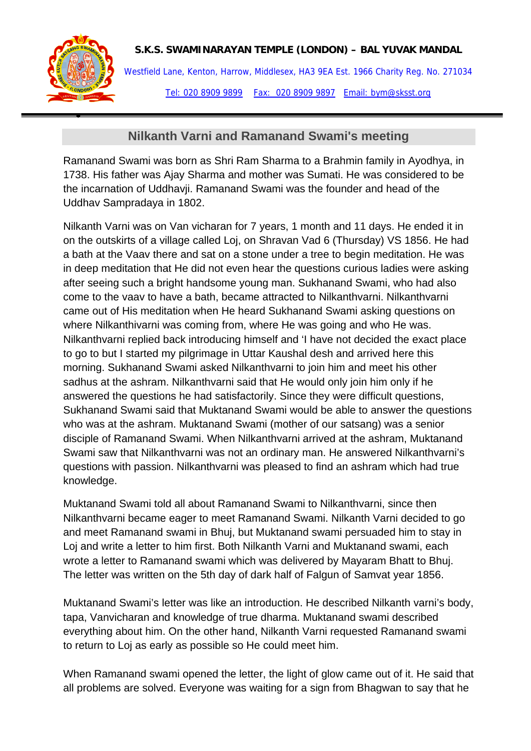

•

## **S.K.S. SWAMINARAYAN TEMPLE (LONDON) – BAL YUVAK MANDAL**

Westfield Lane, Kenton, Harrow, Middlesex, HA3 9EA Est. 1966 Charity Reg. No. 271034 Tel: 020 8909 9899 Fax: 020 8909 9897 Email: bym@sksst.org

## **Nilkanth Varni and Ramanand Swami's meeting**

Ramanand Swami was born as Shri Ram Sharma to a Brahmin family in Ayodhya, in 1738. His father was Ajay Sharma and mother was Sumati. He was considered to be the incarnation of Uddhavji. Ramanand Swami was the founder and head of the Uddhav Sampradaya in 1802.

Nilkanth Varni was on Van vicharan for 7 years, 1 month and 11 days. He ended it in on the outskirts of a village called Loj, on Shravan Vad 6 (Thursday) VS 1856. He had a bath at the Vaav there and sat on a stone under a tree to begin meditation. He was in deep meditation that He did not even hear the questions curious ladies were asking after seeing such a bright handsome young man. Sukhanand Swami, who had also come to the vaav to have a bath, became attracted to Nilkanthvarni. Nilkanthvarni came out of His meditation when He heard Sukhanand Swami asking questions on where Nilkanthivarni was coming from, where He was going and who He was. Nilkanthvarni replied back introducing himself and 'I have not decided the exact place to go to but I started my pilgrimage in Uttar Kaushal desh and arrived here this morning. Sukhanand Swami asked Nilkanthvarni to join him and meet his other sadhus at the ashram. Nilkanthvarni said that He would only join him only if he answered the questions he had satisfactorily. Since they were difficult questions, Sukhanand Swami said that Muktanand Swami would be able to answer the questions who was at the ashram. Muktanand Swami (mother of our satsang) was a senior disciple of Ramanand Swami. When Nilkanthvarni arrived at the ashram, Muktanand Swami saw that Nilkanthvarni was not an ordinary man. He answered Nilkanthvarni's questions with passion. Nilkanthvarni was pleased to find an ashram which had true knowledge.

Muktanand Swami told all about Ramanand Swami to Nilkanthvarni, since then Nilkanthvarni became eager to meet Ramanand Swami. Nilkanth Varni decided to go and meet Ramanand swami in Bhuj, but Muktanand swami persuaded him to stay in Loj and write a letter to him first. Both Nilkanth Varni and Muktanand swami, each wrote a letter to Ramanand swami which was delivered by Mayaram Bhatt to Bhuj. The letter was written on the 5th day of dark half of Falgun of Samvat year 1856.

Muktanand Swami's letter was like an introduction. He described Nilkanth varni's body, tapa, Vanvicharan and knowledge of true dharma. Muktanand swami described everything about him. On the other hand, Nilkanth Varni requested Ramanand swami to return to Loj as early as possible so He could meet him.

When Ramanand swami opened the letter, the light of glow came out of it. He said that all problems are solved. Everyone was waiting for a sign from Bhagwan to say that he